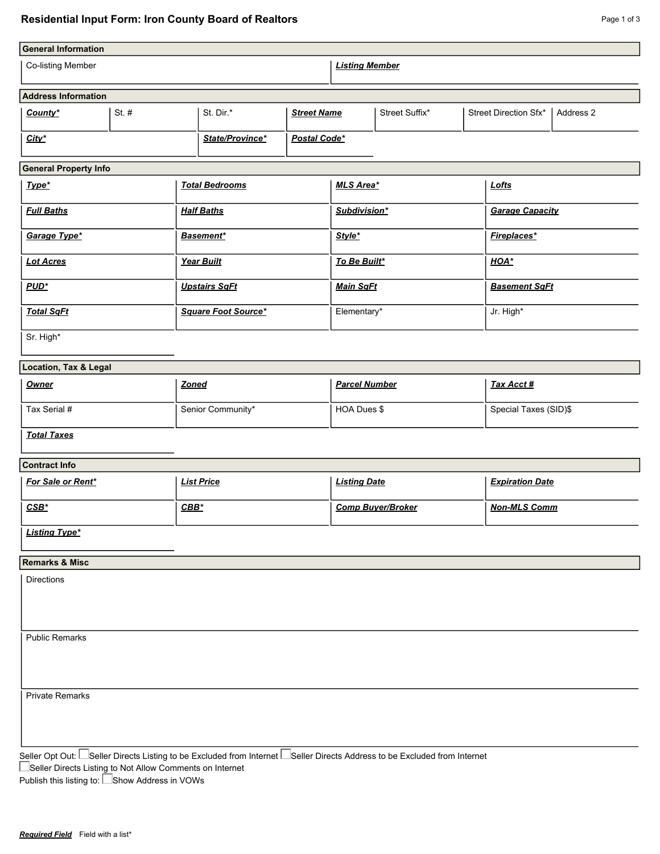| <b>General Information</b>        |  |           |                                                                                                                                                                                                |                          |                    |                                    |                        |  |  |
|-----------------------------------|--|-----------|------------------------------------------------------------------------------------------------------------------------------------------------------------------------------------------------|--------------------------|--------------------|------------------------------------|------------------------|--|--|
| Co-listing Member                 |  |           |                                                                                                                                                                                                |                          |                    |                                    |                        |  |  |
| <b>Address Information</b>        |  |           |                                                                                                                                                                                                |                          |                    |                                    |                        |  |  |
| St. $#$<br>County*                |  | St. Dir.* |                                                                                                                                                                                                | Street Suffix*           |                    | Street Direction Sfx*<br>Address 2 |                        |  |  |
| $City^*$                          |  |           | Postal Code*                                                                                                                                                                                   |                          |                    |                                    |                        |  |  |
| <b>General Property Info</b>      |  |           |                                                                                                                                                                                                |                          |                    |                                    |                        |  |  |
| Type*                             |  |           |                                                                                                                                                                                                | MLS Area*                |                    |                                    | Lofts                  |  |  |
| <b>Full Baths</b>                 |  |           |                                                                                                                                                                                                | Subdivision*             |                    |                                    | <b>Garage Capacity</b> |  |  |
| Garage Type*                      |  |           |                                                                                                                                                                                                | Style*                   |                    |                                    | <b>Fireplaces*</b>     |  |  |
|                                   |  |           |                                                                                                                                                                                                | To Be Built*             |                    |                                    | HOA*                   |  |  |
|                                   |  |           |                                                                                                                                                                                                | <b>Main SqFt</b>         |                    |                                    | <b>Basement SqFt</b>   |  |  |
| <b>Total SqFt</b>                 |  |           |                                                                                                                                                                                                | Elementary*              |                    |                                    | Jr. High*              |  |  |
|                                   |  |           |                                                                                                                                                                                                |                          |                    |                                    |                        |  |  |
| Location, Tax & Legal             |  |           |                                                                                                                                                                                                |                          |                    |                                    |                        |  |  |
|                                   |  |           |                                                                                                                                                                                                | <b>Parcel Number</b>     |                    |                                    | <b>Tax Acct#</b>       |  |  |
| Tax Serial #<br>Senior Community* |  |           |                                                                                                                                                                                                | HOA Dues \$              |                    |                                    | Special Taxes (SID)\$  |  |  |
|                                   |  |           |                                                                                                                                                                                                |                          |                    |                                    |                        |  |  |
|                                   |  |           |                                                                                                                                                                                                |                          |                    |                                    |                        |  |  |
| For Sale or Rent*                 |  |           |                                                                                                                                                                                                | <b>Listing Date</b>      |                    |                                    | <b>Expiration Date</b> |  |  |
| $CSB^*$                           |  |           |                                                                                                                                                                                                | <b>Comp Buyer/Broker</b> |                    |                                    | <b>Non-MLS Comm</b>    |  |  |
|                                   |  |           |                                                                                                                                                                                                |                          |                    |                                    |                        |  |  |
|                                   |  |           |                                                                                                                                                                                                |                          |                    |                                    |                        |  |  |
|                                   |  |           |                                                                                                                                                                                                |                          |                    |                                    |                        |  |  |
|                                   |  |           |                                                                                                                                                                                                |                          |                    |                                    |                        |  |  |
|                                   |  |           |                                                                                                                                                                                                |                          |                    |                                    |                        |  |  |
|                                   |  |           |                                                                                                                                                                                                |                          |                    |                                    |                        |  |  |
| <b>Private Remarks</b>            |  |           |                                                                                                                                                                                                |                          |                    |                                    |                        |  |  |
|                                   |  |           |                                                                                                                                                                                                |                          |                    |                                    |                        |  |  |
|                                   |  |           | State/Province*<br><b>Total Bedrooms</b><br><b>Half Baths</b><br><b>Basement*</b><br>Year Built<br><b>Upstairs SqFt</b><br>Square Foot Source*<br><b>Zoned</b><br><b>List Price</b><br>$CBB^*$ |                          | <b>Street Name</b> | <b>Listing Member</b>              |                        |  |  |

Seller Opt Out:  $\Box$ Seller Directs Listing to be Excluded from Internet  $\Box$ Seller Directs Address to be Excluded from Internet

Seller Directs Listing to Not Allow Comments on Internet

Publish this listing to: L\_Show Address in VOWs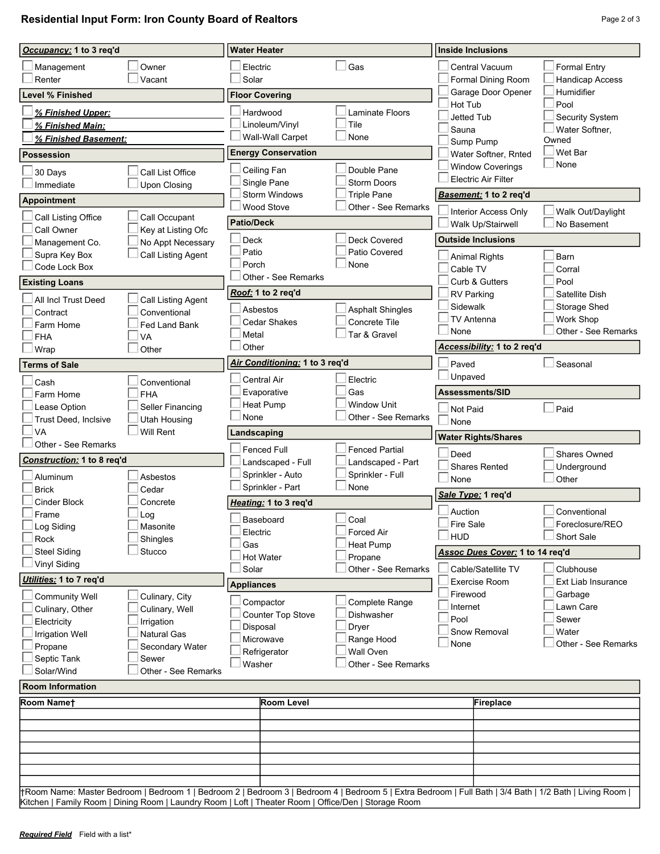**Residential Input Form: Iron County Board of Realtors Page 2 of 3** Page 2 of 3

| Occupancy: 1 to 3 req'd |                                     |                                  | <b>Water Heater</b>            |                                      |                                                                                                                                                        |  | <b>Inside Inclusions</b>          |                         |  |  |
|-------------------------|-------------------------------------|----------------------------------|--------------------------------|--------------------------------------|--------------------------------------------------------------------------------------------------------------------------------------------------------|--|-----------------------------------|-------------------------|--|--|
|                         | Management                          | Owner                            |                                | Electric                             | Gas                                                                                                                                                    |  | Central Vacuum                    | <b>Formal Entry</b>     |  |  |
|                         | Renter                              | Vacant                           |                                | Solar                                |                                                                                                                                                        |  | Formal Dining Room                | Handicap Access         |  |  |
| <b>Level % Finished</b> |                                     |                                  | <b>Floor Covering</b>          |                                      |                                                                                                                                                        |  | Garage Door Opener                | Humidifier              |  |  |
|                         | % Finished Upper:                   |                                  |                                | Hardwood                             | <b>Laminate Floors</b>                                                                                                                                 |  | Hot Tub                           | Pool                    |  |  |
|                         | % Finished Main:                    |                                  |                                | Linoleum/Vinyl                       | Tile                                                                                                                                                   |  | <b>Jetted Tub</b>                 | Security System         |  |  |
|                         | % Finished Basement:                |                                  |                                | Wall-Wall Carpet                     | None                                                                                                                                                   |  | Sauna                             | Water Softner,<br>Owned |  |  |
| <b>Possession</b>       |                                     |                                  | <b>Energy Conservation</b>     |                                      |                                                                                                                                                        |  | Sump Pump<br>Water Softner, Rnted | Wet Bar                 |  |  |
|                         |                                     |                                  |                                | Ceiling Fan                          | Double Pane                                                                                                                                            |  | <b>Window Coverings</b>           | None                    |  |  |
|                         | 30 Days                             | Call List Office                 |                                | Single Pane                          | <b>Storm Doors</b>                                                                                                                                     |  | <b>Electric Air Filter</b>        |                         |  |  |
|                         | Immediate                           | <b>Upon Closing</b>              |                                | <b>Storm Windows</b>                 | <b>Triple Pane</b>                                                                                                                                     |  | Basement: 1 to 2 req'd            |                         |  |  |
|                         | Appointment                         |                                  |                                | Wood Stove                           | Other - See Remarks                                                                                                                                    |  | Interior Access Only              | Walk Out/Daylight       |  |  |
|                         | Call Listing Office                 | Call Occupant                    |                                | <b>Patio/Deck</b>                    |                                                                                                                                                        |  | Walk Up/Stairwell                 | No Basement             |  |  |
|                         | Call Owner                          | Key at Listing Ofc               |                                | <b>Deck</b>                          | <b>Deck Covered</b>                                                                                                                                    |  | <b>Outside Inclusions</b>         |                         |  |  |
|                         | Management Co.                      | No Appt Necessary                |                                | Patio                                | Patio Covered                                                                                                                                          |  |                                   |                         |  |  |
|                         | Supra Key Box<br>Code Lock Box      | Call Listing Agent               |                                | Porch                                | None                                                                                                                                                   |  | <b>Animal Rights</b>              | Barn                    |  |  |
|                         |                                     |                                  |                                | Other - See Remarks                  |                                                                                                                                                        |  | Cable TV                          | Corral                  |  |  |
|                         | <b>Existing Loans</b>               |                                  | Roof: 1 to 2 req'd             |                                      |                                                                                                                                                        |  | Curb & Gutters                    | Pool<br>Satellite Dish  |  |  |
|                         | All Incl Trust Deed                 | Call Listing Agent               |                                |                                      |                                                                                                                                                        |  | <b>RV Parking</b><br>Sidewalk     | Storage Shed            |  |  |
|                         | Contract                            | Conventional                     |                                | Asbestos                             | <b>Asphalt Shingles</b>                                                                                                                                |  | TV Antenna                        | Work Shop               |  |  |
|                         | Farm Home                           | Fed Land Bank                    |                                | <b>Cedar Shakes</b>                  | Concrete Tile<br>Tar & Gravel                                                                                                                          |  | None                              | Other - See Remarks     |  |  |
|                         | <b>FHA</b>                          | VA                               |                                | Metal<br>Other                       |                                                                                                                                                        |  | Accessibility: 1 to 2 req'd       |                         |  |  |
| Other<br>Wrap           |                                     |                                  | Air Conditioning: 1 to 3 req'd |                                      |                                                                                                                                                        |  |                                   |                         |  |  |
|                         | <b>Terms of Sale</b>                |                                  |                                |                                      |                                                                                                                                                        |  | Paved<br>Unpaved                  | Seasonal                |  |  |
|                         | Cash                                | Conventional                     |                                | Central Air                          | Electric                                                                                                                                               |  |                                   |                         |  |  |
|                         | Farm Home                           | <b>FHA</b>                       |                                | Evaporative                          | Gas<br><b>Window Unit</b>                                                                                                                              |  | Assessments/SID                   |                         |  |  |
|                         | Lease Option                        | Seller Financing                 |                                | <b>Heat Pump</b><br>None             | Other - See Remarks                                                                                                                                    |  | Not Paid                          | Paid                    |  |  |
|                         | Trust Deed, Inclsive<br><b>VA</b>   | <b>Utah Housing</b><br>Will Rent |                                |                                      |                                                                                                                                                        |  | None                              |                         |  |  |
|                         | Other - See Remarks                 |                                  |                                | Landscaping                          |                                                                                                                                                        |  | <b>Water Rights/Shares</b>        |                         |  |  |
|                         | Construction: 1 to 8 req'd          |                                  |                                | Fenced Full                          | <b>Fenced Partial</b>                                                                                                                                  |  | Deed                              | Shares Owned            |  |  |
|                         |                                     |                                  |                                | Landscaped - Full                    | Landscaped - Part                                                                                                                                      |  | <b>Shares Rented</b>              | Underground             |  |  |
|                         | Aluminum                            | Asbestos                         |                                | Sprinkler - Auto<br>Sprinkler - Part | Sprinkler - Full<br>None                                                                                                                               |  | None                              | Other                   |  |  |
|                         | <b>Brick</b><br><b>Cinder Block</b> | Cedar<br>Concrete                |                                | Heating: 1 to 3 req'd                |                                                                                                                                                        |  | Sale Type: 1 req'd                |                         |  |  |
|                         | Frame                               | Log                              |                                |                                      |                                                                                                                                                        |  | Auction                           | Conventional            |  |  |
|                         | Log Siding                          | Masonite                         |                                | Baseboard                            | Coal                                                                                                                                                   |  | $\square$ Fire Sale               | Foreclosure/REO         |  |  |
|                         | Rock                                | Shingles                         |                                | Electric                             | <b>Forced Air</b>                                                                                                                                      |  | HUD                               | Short Sale              |  |  |
|                         | <b>Steel Siding</b>                 | Stucco                           |                                | Gas<br>Hot Water                     | Heat Pump<br>Propane                                                                                                                                   |  | Assoc Dues Cover: 1 to 14 req'd   |                         |  |  |
|                         | Vinyl Siding                        |                                  |                                | Solar                                | Other - See Remarks                                                                                                                                    |  | Cable/Satellite TV                | Clubhouse               |  |  |
|                         | Utilities: 1 to 7 req'd             |                                  |                                | <b>Appliances</b>                    |                                                                                                                                                        |  | <b>Exercise Room</b>              | Ext Liab Insurance      |  |  |
|                         | <b>Community Well</b>               | Culinary, City                   |                                |                                      |                                                                                                                                                        |  | Firewood                          | Garbage                 |  |  |
|                         | Culinary, Other                     | Culinary, Well                   |                                | Compactor                            | Complete Range                                                                                                                                         |  | Internet                          | Lawn Care               |  |  |
|                         | Electricity                         | Irrigation                       |                                | Counter Top Stove                    | <b>Dishwasher</b>                                                                                                                                      |  | Pool                              | Sewer                   |  |  |
|                         | <b>Irrigation Well</b>              | <b>Natural Gas</b>               |                                | Disposal<br>Microwave                | Dryer<br>Range Hood                                                                                                                                    |  | Snow Removal                      | Water                   |  |  |
|                         | Propane                             | Secondary Water                  |                                | Refrigerator                         | Wall Oven                                                                                                                                              |  | None                              | Other - See Remarks     |  |  |
|                         | Septic Tank                         | Sewer                            |                                | Washer                               | Other - See Remarks                                                                                                                                    |  |                                   |                         |  |  |
|                         | Solar/Wind                          | Other - See Remarks              |                                |                                      |                                                                                                                                                        |  |                                   |                         |  |  |
| <b>Room Information</b> |                                     |                                  |                                |                                      |                                                                                                                                                        |  |                                   |                         |  |  |
|                         | Room Namet                          |                                  |                                | Room Level                           |                                                                                                                                                        |  | <b>Fireplace</b>                  |                         |  |  |
|                         |                                     |                                  |                                |                                      |                                                                                                                                                        |  |                                   |                         |  |  |
|                         |                                     |                                  |                                |                                      |                                                                                                                                                        |  |                                   |                         |  |  |
|                         |                                     |                                  |                                |                                      |                                                                                                                                                        |  |                                   |                         |  |  |
|                         |                                     |                                  |                                |                                      |                                                                                                                                                        |  |                                   |                         |  |  |
|                         |                                     |                                  |                                |                                      |                                                                                                                                                        |  |                                   |                         |  |  |
|                         |                                     |                                  |                                |                                      | HRoom Name: Master Bedroom   Bedroom 1   Bedroom 2   Bedroom 3   Bedroom 4   Bedroom 5   Extra Bedroom   Full Bath   3/4 Bath   1/2 Bath   Living Room |  |                                   |                         |  |  |

Kitchen | Family Room | Dining Room | Laundry Room | Loft | Theater Room | Office/Den | Storage Room